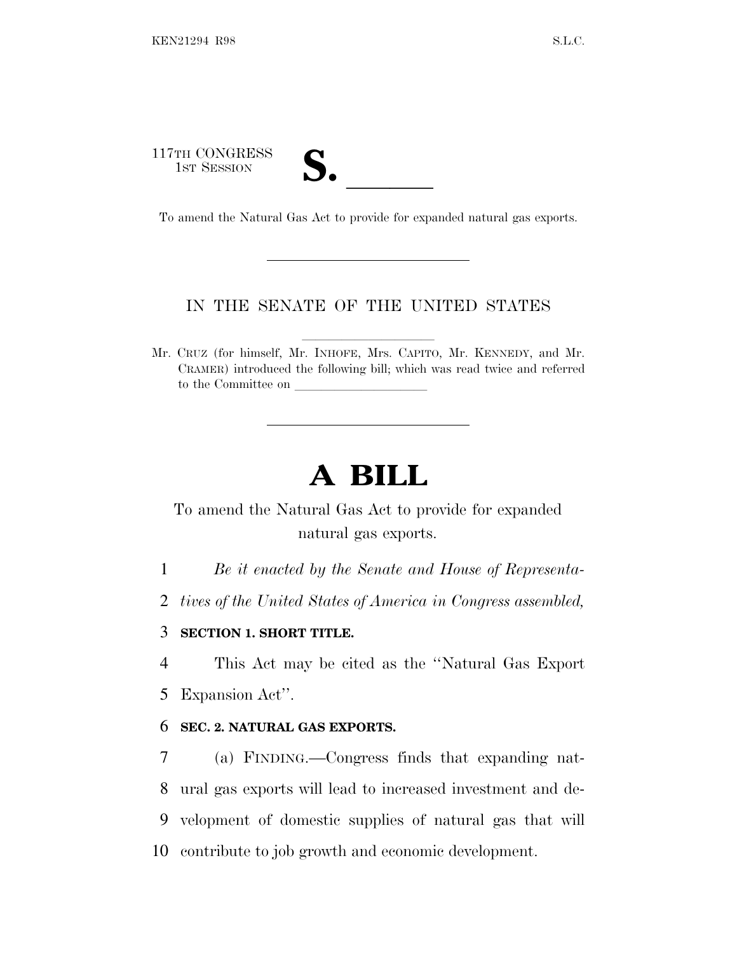117TH CONGRESS 17TH CONGRESS<br>1st SESSION<br>To amend the Natural Gas Act to provide for expanded natural gas exports.

## IN THE SENATE OF THE UNITED STATES

Mr. CRUZ (for himself, Mr. INHOFE, Mrs. CAPITO, Mr. KENNEDY, and Mr. CRAMER) introduced the following bill; which was read twice and referred to the Committee on

## **A BILL**

To amend the Natural Gas Act to provide for expanded natural gas exports.

1 *Be it enacted by the Senate and House of Representa-*

2 *tives of the United States of America in Congress assembled,*

## 3 **SECTION 1. SHORT TITLE.**

4 This Act may be cited as the ''Natural Gas Export

5 Expansion Act''.

## 6 **SEC. 2. NATURAL GAS EXPORTS.**

 (a) FINDING.—Congress finds that expanding nat- ural gas exports will lead to increased investment and de- velopment of domestic supplies of natural gas that will contribute to job growth and economic development.